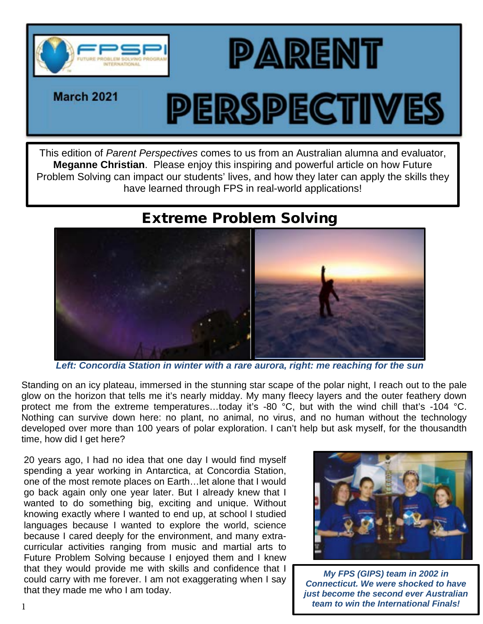

**March 2021** 

## PERSPECTIVES

**PARENT** 

This edition of *Parent Perspectives* comes to us from an Australian alumna and evaluator, **Meganne Christian**. Please enjoy this inspiring and powerful article on how Future Problem Solving can impact our students' lives, and how they later can apply the skills they have learned through FPS in real-world applications!

## Extreme Problem Solving



*Left: Concordia Station in winter with a rare aurora, right: me reaching for the sun*

Standing on an icy plateau, immersed in the stunning star scape of the polar night, I reach out to the pale glow on the horizon that tells me it's nearly midday. My many fleecy layers and the outer feathery down protect me from the extreme temperatures...today it's -80 °C, but with the wind chill that's -104 °C. Nothing can survive down here: no plant, no animal, no virus, and no human without the technology developed over more than 100 years of polar exploration. I can't help but ask myself, for the thousandth time, how did I get here?

20 years ago, I had no idea that one day I would find myself spending a year working in Antarctica, at Concordia Station, one of the most remote places on Earth…let alone that I would go back again only one year later. But I already knew that I wanted to do something big, exciting and unique. Without knowing exactly where I wanted to end up, at school I studied languages because I wanted to explore the world, science because I cared deeply for the environment, and many extracurricular activities ranging from music and martial arts to Future Problem Solving because I enjoyed them and I knew that they would provide me with skills and confidence that I could carry with me forever. I am not exaggerating when I say that they made me who I am today.



*My FPS (GIPS) team in 2002 in Connecticut. We were shocked to have just become the second ever Australian team to win the International Finals!* 1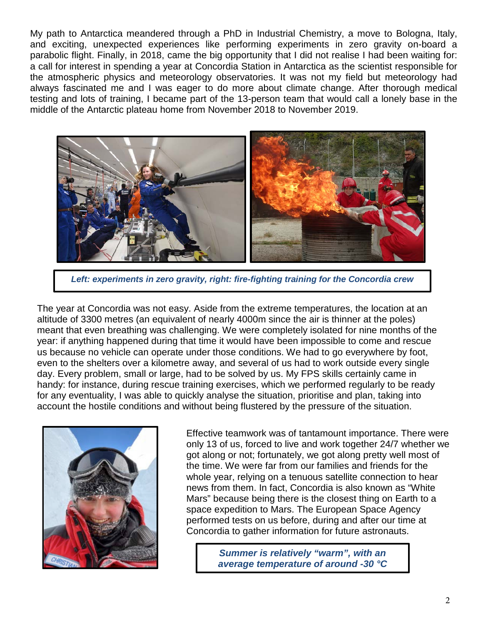My path to Antarctica meandered through a PhD in Industrial Chemistry, a move to Bologna, Italy, and exciting, unexpected experiences like performing experiments in zero gravity on-board a parabolic flight. Finally, in 2018, came the big opportunity that I did not realise I had been waiting for: a call for interest in spending a year at Concordia Station in Antarctica as the scientist responsible for the atmospheric physics and meteorology observatories. It was not my field but meteorology had always fascinated me and I was eager to do more about climate change. After thorough medical testing and lots of training, I became part of the 13-person team that would call a lonely base in the middle of the Antarctic plateau home from November 2018 to November 2019.



*Left: experiments in zero gravity, right: fire-fighting training for the Concordia crew*

The year at Concordia was not easy. Aside from the extreme temperatures, the location at an altitude of 3300 metres (an equivalent of nearly 4000m since the air is thinner at the poles) meant that even breathing was challenging. We were completely isolated for nine months of the year: if anything happened during that time it would have been impossible to come and rescue us because no vehicle can operate under those conditions. We had to go everywhere by foot, even to the shelters over a kilometre away, and several of us had to work outside every single day. Every problem, small or large, had to be solved by us. My FPS skills certainly came in handy: for instance, during rescue training exercises, which we performed regularly to be ready for any eventuality, I was able to quickly analyse the situation, prioritise and plan, taking into account the hostile conditions and without being flustered by the pressure of the situation.



Effective teamwork was of tantamount importance. There were only 13 of us, forced to live and work together 24/7 whether we got along or not; fortunately, we got along pretty well most of the time. We were far from our families and friends for the whole year, relying on a tenuous satellite connection to hear news from them. In fact, Concordia is also known as "White Mars" because being there is the closest thing on Earth to a space expedition to Mars. The European Space Agency performed tests on us before, during and after our time at Concordia to gather information for future astronauts.

> *Summer is relatively "warm", with an average temperature of around -30 °C*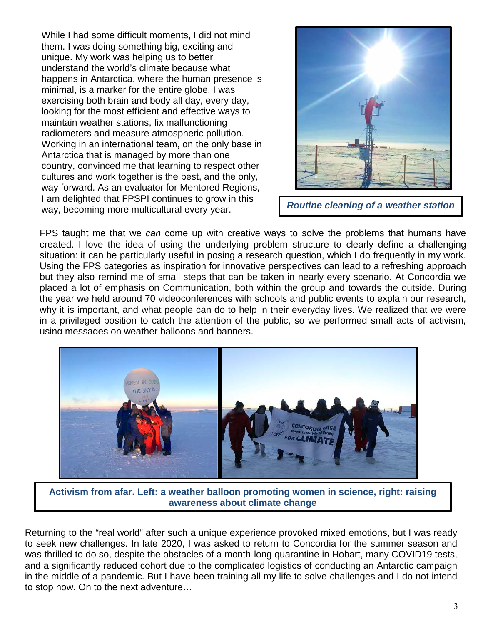While I had some difficult moments, I did not mind them. I was doing something big, exciting and unique. My work was helping us to better understand the world's climate because what happens in Antarctica, where the human presence is minimal, is a marker for the entire globe. I was exercising both brain and body all day, every day, looking for the most efficient and effective ways to maintain weather stations, fix malfunctioning radiometers and measure atmospheric pollution. Working in an international team, on the only base in Antarctica that is managed by more than one country, convinced me that learning to respect other cultures and work together is the best, and the only, way forward. As an evaluator for Mentored Regions, I am delighted that FPSPI continues to grow in this way, becoming more multicultural every year. *Routine cleaning of a weather station*



FPS taught me that we *can* come up with creative ways to solve the problems that humans have created. I love the idea of using the underlying problem structure to clearly define a challenging situation: it can be particularly useful in posing a research question, which I do frequently in my work. Using the FPS categories as inspiration for innovative perspectives can lead to a refreshing approach but they also remind me of small steps that can be taken in nearly every scenario. At Concordia we placed a lot of emphasis on Communication, both within the group and towards the outside. During the year we held around 70 videoconferences with schools and public events to explain our research, why it is important, and what people can do to help in their everyday lives. We realized that we were in a privileged position to catch the attention of the public, so we performed small acts of activism, using messages on weather balloons and banners.



**Activism from afar. Left: a weather balloon promoting women in science, right: raising awareness about climate change**

Returning to the "real world" after such a unique experience provoked mixed emotions, but I was ready to seek new challenges. In late 2020, I was asked to return to Concordia for the summer season and was thrilled to do so, despite the obstacles of a month-long quarantine in Hobart, many COVID19 tests, and a significantly reduced cohort due to the complicated logistics of conducting an Antarctic campaign in the middle of a pandemic. But I have been training all my life to solve challenges and I do not intend to stop now. On to the next adventure…